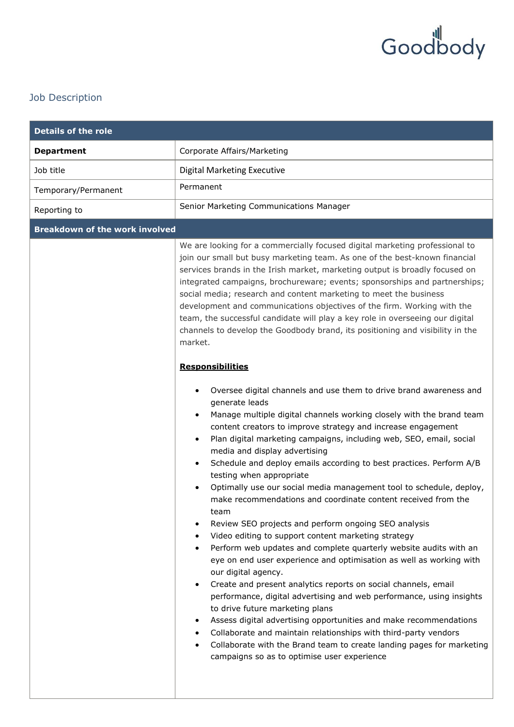

## Job Description

| <b>Details of the role</b>            |                                                                                                                                                                                                                                                                                                                                                                                                                                                                                                                                                                                                                                                                                                                                                                                                                                                                                                                                                                                                                                                                                                                                                                                                                                                                                                                                                                                 |
|---------------------------------------|---------------------------------------------------------------------------------------------------------------------------------------------------------------------------------------------------------------------------------------------------------------------------------------------------------------------------------------------------------------------------------------------------------------------------------------------------------------------------------------------------------------------------------------------------------------------------------------------------------------------------------------------------------------------------------------------------------------------------------------------------------------------------------------------------------------------------------------------------------------------------------------------------------------------------------------------------------------------------------------------------------------------------------------------------------------------------------------------------------------------------------------------------------------------------------------------------------------------------------------------------------------------------------------------------------------------------------------------------------------------------------|
| <b>Department</b>                     | Corporate Affairs/Marketing                                                                                                                                                                                                                                                                                                                                                                                                                                                                                                                                                                                                                                                                                                                                                                                                                                                                                                                                                                                                                                                                                                                                                                                                                                                                                                                                                     |
| Job title                             | <b>Digital Marketing Executive</b>                                                                                                                                                                                                                                                                                                                                                                                                                                                                                                                                                                                                                                                                                                                                                                                                                                                                                                                                                                                                                                                                                                                                                                                                                                                                                                                                              |
| Temporary/Permanent                   | Permanent                                                                                                                                                                                                                                                                                                                                                                                                                                                                                                                                                                                                                                                                                                                                                                                                                                                                                                                                                                                                                                                                                                                                                                                                                                                                                                                                                                       |
| Reporting to                          | Senior Marketing Communications Manager                                                                                                                                                                                                                                                                                                                                                                                                                                                                                                                                                                                                                                                                                                                                                                                                                                                                                                                                                                                                                                                                                                                                                                                                                                                                                                                                         |
| <b>Breakdown of the work involved</b> |                                                                                                                                                                                                                                                                                                                                                                                                                                                                                                                                                                                                                                                                                                                                                                                                                                                                                                                                                                                                                                                                                                                                                                                                                                                                                                                                                                                 |
|                                       | We are looking for a commercially focused digital marketing professional to<br>join our small but busy marketing team. As one of the best-known financial<br>services brands in the Irish market, marketing output is broadly focused on<br>integrated campaigns, brochureware; events; sponsorships and partnerships;<br>social media; research and content marketing to meet the business<br>development and communications objectives of the firm. Working with the<br>team, the successful candidate will play a key role in overseeing our digital<br>channels to develop the Goodbody brand, its positioning and visibility in the<br>market.<br><b>Responsibilities</b>                                                                                                                                                                                                                                                                                                                                                                                                                                                                                                                                                                                                                                                                                                  |
|                                       | Oversee digital channels and use them to drive brand awareness and<br>generate leads<br>Manage multiple digital channels working closely with the brand team<br>content creators to improve strategy and increase engagement<br>Plan digital marketing campaigns, including web, SEO, email, social<br>media and display advertising<br>Schedule and deploy emails according to best practices. Perform A/B<br>$\bullet$<br>testing when appropriate<br>Optimally use our social media management tool to schedule, deploy,<br>make recommendations and coordinate content received from the<br>team<br>Review SEO projects and perform ongoing SEO analysis<br>Video editing to support content marketing strategy<br>$\bullet$<br>Perform web updates and complete quarterly website audits with an<br>eye on end user experience and optimisation as well as working with<br>our digital agency.<br>Create and present analytics reports on social channels, email<br>performance, digital advertising and web performance, using insights<br>to drive future marketing plans<br>Assess digital advertising opportunities and make recommendations<br>٠<br>Collaborate and maintain relationships with third-party vendors<br>$\bullet$<br>Collaborate with the Brand team to create landing pages for marketing<br>$\bullet$<br>campaigns so as to optimise user experience |